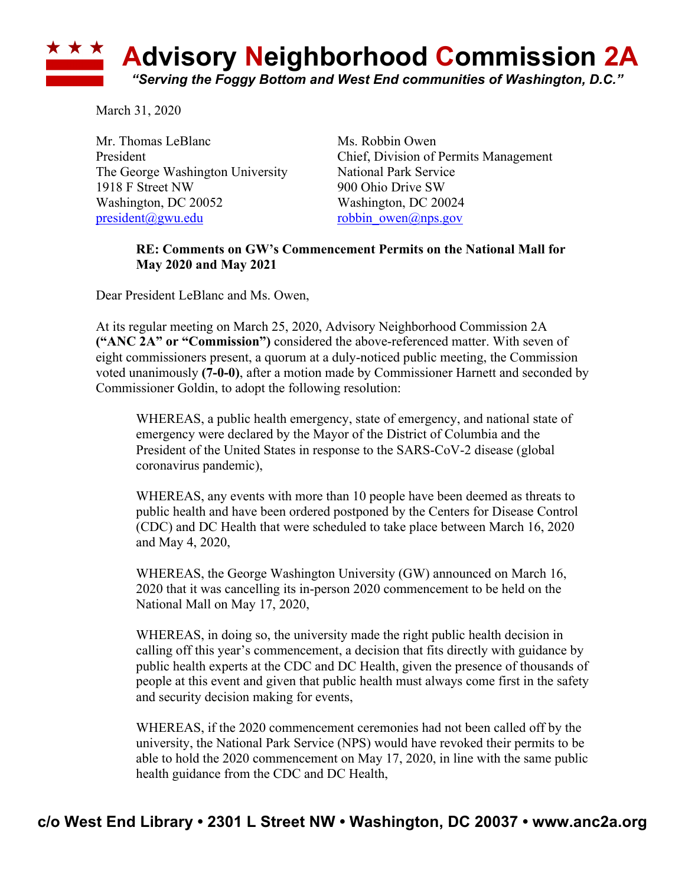## **Advisory Neighborhood Commission 2A** *"Serving the Foggy Bottom and West End communities of Washington, D.C."*

March 31, 2020

Mr. Thomas LeBlanc Ms. Robbin Owen The George Washington University National Park Service 1918 F Street NW 900 Ohio Drive SW Washington, DC 20052 Washington, DC 20024 president@gwu.edu robbin\_owen@nps.gov

President Chief, Division of Permits Management

## **RE: Comments on GW's Commencement Permits on the National Mall for May 2020 and May 2021**

Dear President LeBlanc and Ms. Owen,

At its regular meeting on March 25, 2020, Advisory Neighborhood Commission 2A **("ANC 2A" or "Commission")** considered the above-referenced matter. With seven of eight commissioners present, a quorum at a duly-noticed public meeting, the Commission voted unanimously **(7-0-0)**, after a motion made by Commissioner Harnett and seconded by Commissioner Goldin, to adopt the following resolution:

WHEREAS, a public health emergency, state of emergency, and national state of emergency were declared by the Mayor of the District of Columbia and the President of the United States in response to the SARS-CoV-2 disease (global coronavirus pandemic),

WHEREAS, any events with more than 10 people have been deemed as threats to public health and have been ordered postponed by the Centers for Disease Control (CDC) and DC Health that were scheduled to take place between March 16, 2020 and May 4, 2020,

WHEREAS, the George Washington University (GW) announced on March 16, 2020 that it was cancelling its in-person 2020 commencement to be held on the National Mall on May 17, 2020,

WHEREAS, in doing so, the university made the right public health decision in calling off this year's commencement, a decision that fits directly with guidance by public health experts at the CDC and DC Health, given the presence of thousands of people at this event and given that public health must always come first in the safety and security decision making for events,

WHEREAS, if the 2020 commencement ceremonies had not been called off by the university, the National Park Service (NPS) would have revoked their permits to be able to hold the 2020 commencement on May 17, 2020, in line with the same public health guidance from the CDC and DC Health,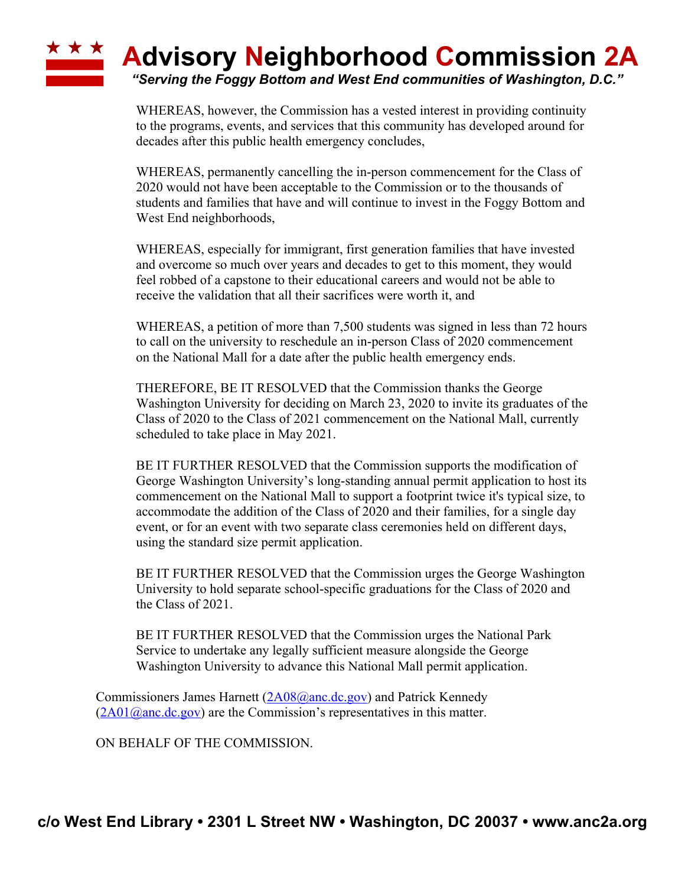## **Advisory Neighborhood Commission 2A** *"Serving the Foggy Bottom and West End communities of Washington, D.C."*

WHEREAS, however, the Commission has a vested interest in providing continuity to the programs, events, and services that this community has developed around for decades after this public health emergency concludes,

WHEREAS, permanently cancelling the in-person commencement for the Class of 2020 would not have been acceptable to the Commission or to the thousands of students and families that have and will continue to invest in the Foggy Bottom and West End neighborhoods,

WHEREAS, especially for immigrant, first generation families that have invested and overcome so much over years and decades to get to this moment, they would feel robbed of a capstone to their educational careers and would not be able to receive the validation that all their sacrifices were worth it, and

WHEREAS, a petition of more than 7,500 students was signed in less than 72 hours to call on the university to reschedule an in-person Class of 2020 commencement on the National Mall for a date after the public health emergency ends.

THEREFORE, BE IT RESOLVED that the Commission thanks the George Washington University for deciding on March 23, 2020 to invite its graduates of the Class of 2020 to the Class of 2021 commencement on the National Mall, currently scheduled to take place in May 2021.

BE IT FURTHER RESOLVED that the Commission supports the modification of George Washington University's long-standing annual permit application to host its commencement on the National Mall to support a footprint twice it's typical size, to accommodate the addition of the Class of 2020 and their families, for a single day event, or for an event with two separate class ceremonies held on different days, using the standard size permit application.

BE IT FURTHER RESOLVED that the Commission urges the George Washington University to hold separate school-specific graduations for the Class of 2020 and the Class of 2021.

BE IT FURTHER RESOLVED that the Commission urges the National Park Service to undertake any legally sufficient measure alongside the George Washington University to advance this National Mall permit application.

Commissioners James Harnett (2A08@anc.dc.gov) and Patrick Kennedy  $(2A01@anc.de.gov)$  are the Commission's representatives in this matter.

ON BEHALF OF THE COMMISSION.